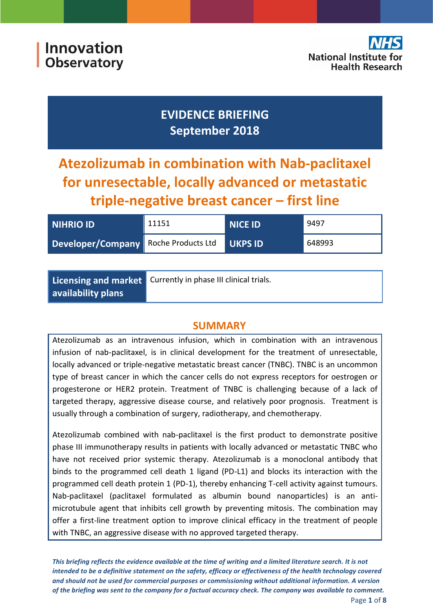



# **EVIDENCE BRIEFING September 2018**

**Atezolizumab in combination with Nab-paclitaxel for unresectable, locally advanced or metastatic triple-negative breast cancer – first line**

| <b>NIHRIO ID</b>                     | 11151 | NICE ID        | 9497   |
|--------------------------------------|-------|----------------|--------|
| Developer/Company Roche Products Ltd |       | <b>UKPS ID</b> | 648993 |

|                           | Licensing and market Currently in phase III clinical trials. |
|---------------------------|--------------------------------------------------------------|
| $\mid$ availability plans |                                                              |

## **SUMMARY**

Atezolizumab as an intravenous infusion, which in combination with an intravenous infusion of nab-paclitaxel, is in clinical development for the treatment of unresectable, locally advanced or triple-negative metastatic breast cancer (TNBC). TNBC is an uncommon type of breast cancer in which the cancer cells do not express receptors for oestrogen or progesterone or HER2 protein. Treatment of TNBC is challenging because of a lack of targeted therapy, aggressive disease course, and relatively poor prognosis. Treatment is usually through a combination of surgery, radiotherapy, and chemotherapy.

Atezolizumab combined with nab-paclitaxel is the first product to demonstrate positive phase III immunotherapy results in patients with locally advanced or metastatic TNBC who have not received prior systemic therapy. Atezolizumab is a monoclonal antibody that binds to the programmed cell death 1 ligand (PD-L1) and blocks its interaction with the programmed cell death protein 1 (PD-1), thereby enhancing T-cell activity against tumours. Nab-paclitaxel (paclitaxel formulated as albumin bound nanoparticles) is an antimicrotubule agent that inhibits cell growth by preventing mitosis. The combination may offer a first-line treatment option to improve clinical efficacy in the treatment of people with TNBC, an aggressive disease with no approved targeted therapy.

*This briefing reflects the evidence available at the time of writing and a limited literature search. It is not intended to be a definitive statement on the safety, efficacy or effectiveness of the health technology covered and should not be used for commercial purposes or commissioning without additional information. A version of the briefing was sent to the company for a factual accuracy check. The company was available to comment.*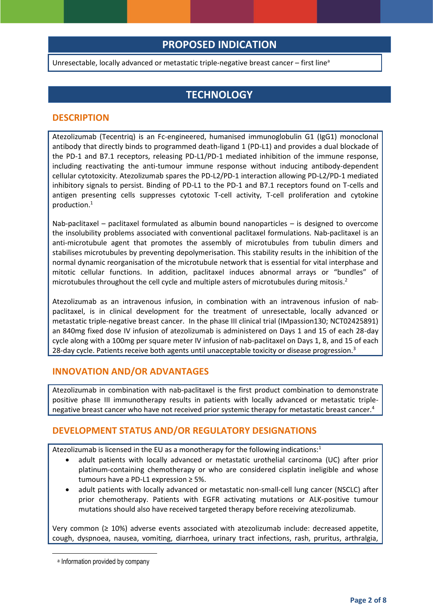## **PROPOSED INDICATION**

Unresectable, locally advanced or metastatic triple-negative breast cancer  $-$  first line<sup>a</sup>

## **TECHNOLOGY**

#### **DESCRIPTION**

Atezolizumab (Tecentriq) is an Fc-engineered, humanised immunoglobulin G1 (IgG1) monoclonal antibody that directly binds to programmed death-ligand 1 (PD-L1) and provides a dual blockade of the PD-1 and B7.1 receptors, releasing PD-L1/PD-1 mediated inhibition of the immune response, including reactivating the anti-tumour immune response without inducing antibody-dependent cellular cytotoxicity. Atezolizumab spares the PD-L2/PD-1 interaction allowing PD-L2/PD-1 mediated inhibitory signals to persist. Binding of PD-L1 to the PD-1 and B7.1 receptors found on T-cells and antigen presenting cells suppresses cytotoxic T-cell activity, T-cell proliferation and cytokine production.<sup>1</sup>

<span id="page-1-0"></span>Nab-paclitaxel – paclitaxel formulated as albumin bound nanoparticles – is designed to overcome the insolubility problems associated with conventional paclitaxel formulations. Nab-paclitaxel is an anti-microtubule agent that promotes the assembly of microtubules from tubulin dimers and stabilises microtubules by preventing depolymerisation. This stability results in the inhibition of the normal dynamic reorganisation of the microtubule network that is essential for vital interphase and mitotic cellular functions. In addition, paclitaxel induces abnormal arrays or "bundles" of microtubules throughout the cell cycle and multiple asters of microtubules during mitosis. 2

Atezolizumab as an intravenous infusion, in combination with an intravenous infusion of nabpaclitaxel, is in clinical development for the treatment of unresectable, locally advanced or metastatic triple-negative breast cancer. In the phase III clinical trial (IMpassion130; NCT02425891) an 840mg fixed dose IV infusion of atezolizumab is administered on Days 1 and 15 of each 28-day cycle along with a 100mg per square meter IV infusion of nab-paclitaxel on Days 1, 8, and 15 of each 28-day cycle. Patients receive both agents until unacceptable toxicity or disease progression.<sup>3</sup>

#### <span id="page-1-1"></span>**INNOVATION AND/OR ADVANTAGES**

Atezolizumab in combination with nab-paclitaxel is the first product combination to demonstrate positive phase III immunotherapy results in patients with locally advanced or metastatic triplenegative breast cancer who have not received prior systemic therapy for metastatic breast cancer.<sup>4</sup>

#### **DEVELOPMENT STATUS AND/OR REGULATORY DESIGNATIONS**

Atezolizumab is licensed in the EU as a monotherapy for the following indications:<sup>[1](#page-1-0)</sup>

- <span id="page-1-2"></span>• adult patients with locally advanced or metastatic urothelial carcinoma (UC) after prior platinum-containing chemotherapy or who are considered cisplatin ineligible and whose tumours have a PD-L1 expression ≥ 5%.
- adult patients with locally advanced or metastatic non-small-cell lung cancer (NSCLC) after prior chemotherapy. Patients with EGFR activating mutations or ALK-positive tumour mutations should also have received targeted therapy before receiving atezolizumab.

Very common (≥ 10%) adverse events associated with atezolizumab include: decreased appetite, cough, dyspnoea, nausea, vomiting, diarrhoea, urinary tract infections, rash, pruritus, arthralgia,

**.** 

a Information provided by company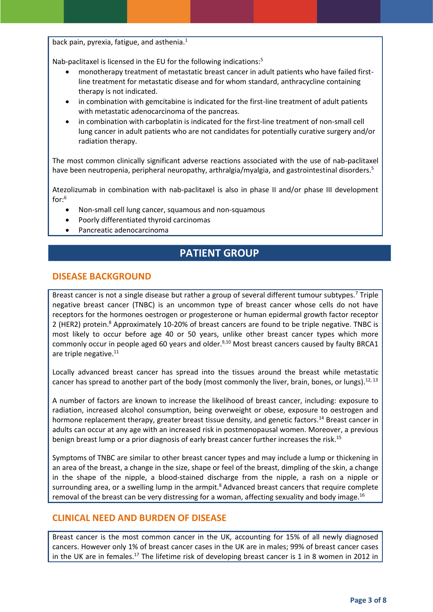back pain, pyrexia, fatigue, and asthenia[.](#page-1-0)<sup>1</sup>

Nab-paclitaxel is licensed in the EU for the following indications:<sup>5</sup>

- <span id="page-2-0"></span>• monotherapy treatment of metastatic breast cancer in adult patients who have failed firstline treatment for metastatic disease and for whom standard, anthracycline containing therapy is not indicated.
- in combination with gemcitabine is indicated for the first-line treatment of adult patients with metastatic adenocarcinoma of the pancreas.
- in combination with carboplatin is indicated for the first-line treatment of non-small cell lung cancer in adult patients who are not candidates for potentially curative surgery and/or radiation therapy.

The most common clinically significant adverse reactions associated with the use of nab-paclitaxel have been neutropenia, peripheral neuropathy, arthralgia/myalgia, and gastrointestinal disorders[.](#page-2-0)<sup>5</sup>

Atezolizumab in combination with nab-paclitaxel is also in phase II and/or phase III development for: 6

- Non-small cell lung cancer, squamous and non-squamous
- Poorly differentiated thyroid carcinomas
- Pancreatic adenocarcinoma

## <span id="page-2-2"></span>**PATIENT GROUP**

#### **DISEASE BACKGROUND**

<span id="page-2-1"></span>Breast cancer is not a single disease but rather a group of several different tumour subtypes.<sup>7</sup> Triple negative breast cancer (TNBC) is an uncommon type of breast cancer whose cells do not have receptors for the hormones oestrogen or progesterone or human epidermal growth factor receptor 2 (HER2) protein.<sup>8</sup> Approximately 10-20% of breast cancers are found to be triple negative. TNBC is most likely to occur before age 40 or 50 years, unlike other breast cancer types which more commonly occur in people aged 60 years and older.<sup>9,10</sup> Most breast cancers caused by faulty BRCA1 are triple negative.<sup>11</sup>

<span id="page-2-3"></span>Locally advanced breast cancer has spread into the tissues around the breast while metastatic cancer has spread to another part of the body (most commonly the liver, brain, bones, or lungs).<sup>12, 13</sup>

A number of factors are known to increase the likelihood of breast cancer, including: exposure to radiation, increased alcohol consumption, being overweight or obese, exposure to oestrogen and hormone replacement therapy, greater breast tissue density, and genetic factors.<sup>14</sup> Breast cancer in adults can occur at any age with an increased risk in postmenopausal women. Moreover, a previous benign breast lump or a prior diagnosis of early breast cancer further increases the risk.<sup>15</sup>

Symptoms of TNBC are similar to other breast cancer types and may include a lump or thickening in an area of the breast, a change in the size, shape or feel of the breast, dimpling of the skin, a change in the shape of the nipple, a blood-stained discharge from the nipple, a rash on a nipple or surrounding area, or a swelling lump in the armpit[.](#page-2-1) $8$  Advanced breast cancers that require complete removal of the breast can be very distressing for a woman, affecting sexuality and body image.<sup>16</sup>

#### **CLINICAL NEED AND BURDEN OF DISEASE**

Breast cancer is the most common cancer in the UK, accounting for 15% of all newly diagnosed cancers. However only 1% of breast cancer cases in the UK are in males; 99% of breast cancer cases in the UK are in females.<sup>17</sup> The lifetime risk of developing breast cancer is 1 in 8 women in 2012 in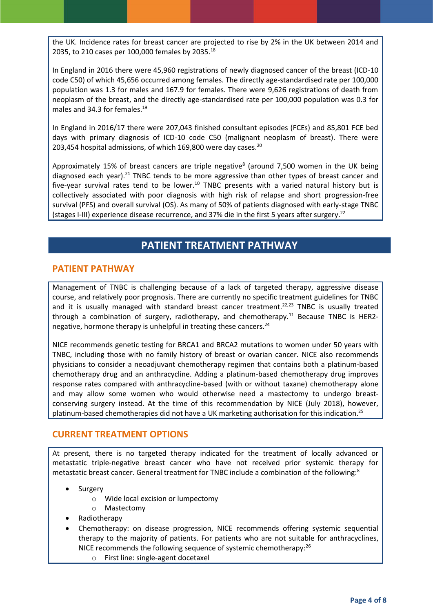the UK. Incidence rates for breast cancer are projected to rise by 2% in the UK between 2014 and 2035, to 210 cases per 100,000 females by 2035.<sup>18</sup>

In England in 2016 there were 45,960 registrations of newly diagnosed cancer of the breast (ICD-10 code C50) of which 45,656 occurred among females. The directly age-standardised rate per 100,000 population was 1.3 for males and 167.9 for females. There were 9,626 registrations of death from neoplasm of the breast, and the directly age-standardised rate per 100,000 population was 0.3 for males and 34.3 for females.<sup>19</sup>

In England in 2016/17 there were 207,043 finished consultant episodes (FCEs) and 85,801 FCE bed days with primary diagnosis of ICD-10 code C50 (malignant neoplasm of breast). There were 203,454 hospital admissions, of which 169,800 were day cases.<sup>20</sup>

Approximat[e](#page-2-1)ly 15% of breast cancers are triple negative<sup>8</sup> (around 7,500 women in the UK being diagnosed each year).<sup>21</sup> TNBC tends to be more aggressive than other types of breast cancer and five-year survival rates tend to be lower.<sup>[10](#page-2-2)</sup> TNBC presents with a varied natural history but is collectively associated with poor diagnosis with high risk of relapse and short progression-free survival (PFS) and overall survival (OS). As many of 50% of patients diagnosed with early-stage TNBC (stages I-III) experience disease recurrence, and 37% die in the first 5 years after surgery.<sup>22</sup>

## <span id="page-3-0"></span>**PATIENT TREATMENT PATHWAY**

#### **PATIENT PATHWAY**

Management of TNBC is challenging because of a lack of targeted therapy, aggressive disease course, and relatively poor prognosis. There are currently no specific treatment guidelines for TNBC and it is usually managed with standard breast cancer treatment.<sup>[22,2](#page-3-0)3</sup> TNBC is usually treated through a combination of surgery, radiotherapy, and chemotherapy.<sup>[11](#page-2-3)</sup> Because TNBC is HER2negative, hormone therapy is unhelpful in treating these cancers.<sup>24</sup>

NICE recommends genetic testing for BRCA1 and BRCA2 mutations to women under 50 years with TNBC, including those with no family history of breast or ovarian cancer. NICE also recommends physicians to consider a neoadjuvant chemotherapy regimen that contains both a platinum-based chemotherapy drug and an anthracycline. Adding a platinum-based chemotherapy drug improves response rates compared with anthracycline-based (with or without taxane) chemotherapy alone and may allow some women who would otherwise need a mastectomy to undergo breastconserving surgery instead. At the time of this recommendation by NICE (July 2018), however, platinum-based chemotherapies did not have a UK marketing authorisation for this indication.<sup>25</sup>

#### **CURRENT TREATMENT OPTIONS**

At present, there is no targeted therapy indicated for the treatment of locally advanced or metastatic triple-negative breast cancer who have not received prior systemic therapy for metastatic breast cancer. General treatment for TNBC include a combination of the following:<sup>[8](#page-2-1)</sup>

- **Surgery** 
	- o Wide local excision or lumpectomy
	- o Mastectomy
- Radiotherapy
- Chemotherapy: on disease progression, NICE recommends offering systemic sequential therapy to the majority of patients. For patients who are not suitable for anthracyclines, NICE recommends the following sequence of systemic chemotherapy:<sup>26</sup>
	- o First line: single-agent docetaxel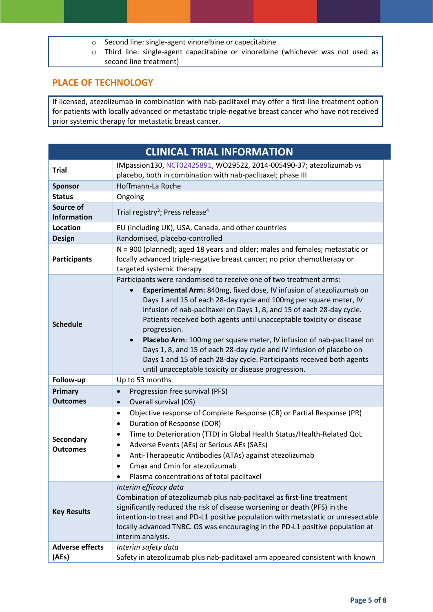- o Second line: single-agent vinorelbine or capecitabine
- o Third line: single-agent capecitabine or vinorelbine (whichever was not used as second line treatment)

### **PLACE OF TECHNOLOGY**

If licensed, atezolizumab in combination with nab-paclitaxel may offer a first-line treatment option for patients with locally advanced or metastatic triple-negative breast cancer who have not received prior systemic therapy for metastatic breast cancer.

| <b>CLINICAL TRIAL INFORMATION</b> |                                                                                                                                                                                                                                                                                                                                                                                                                                                                                                                                                                                                                                                                               |  |
|-----------------------------------|-------------------------------------------------------------------------------------------------------------------------------------------------------------------------------------------------------------------------------------------------------------------------------------------------------------------------------------------------------------------------------------------------------------------------------------------------------------------------------------------------------------------------------------------------------------------------------------------------------------------------------------------------------------------------------|--|
| <b>Trial</b>                      | IMpassion130, NCT02425891, WO29522, 2014-005490-37; atezolizumab vs<br>placebo, both in combination with nab-paclitaxel; phase III                                                                                                                                                                                                                                                                                                                                                                                                                                                                                                                                            |  |
| <b>Sponsor</b>                    | Hoffmann-La Roche                                                                                                                                                                                                                                                                                                                                                                                                                                                                                                                                                                                                                                                             |  |
| <b>Status</b>                     | Ongoing                                                                                                                                                                                                                                                                                                                                                                                                                                                                                                                                                                                                                                                                       |  |
| Source of<br><b>Information</b>   | Trial registry <sup>3</sup> ; Press release <sup>4</sup>                                                                                                                                                                                                                                                                                                                                                                                                                                                                                                                                                                                                                      |  |
| Location                          | EU (including UK), USA, Canada, and other countries                                                                                                                                                                                                                                                                                                                                                                                                                                                                                                                                                                                                                           |  |
| <b>Design</b>                     | Randomised, placebo-controlled                                                                                                                                                                                                                                                                                                                                                                                                                                                                                                                                                                                                                                                |  |
| <b>Participants</b>               | N = 900 (planned); aged 18 years and older; males and females; metastatic or<br>locally advanced triple-negative breast cancer; no prior chemotherapy or<br>targeted systemic therapy                                                                                                                                                                                                                                                                                                                                                                                                                                                                                         |  |
| <b>Schedule</b>                   | Participants were randomised to receive one of two treatment arms:<br>Experimental Arm: 840mg, fixed dose, IV infusion of atezolizumab on<br>$\bullet$<br>Days 1 and 15 of each 28-day cycle and 100mg per square meter, IV<br>infusion of nab-paclitaxel on Days 1, 8, and 15 of each 28-day cycle.<br>Patients received both agents until unacceptable toxicity or disease<br>progression.<br>Placebo Arm: 100mg per square meter, IV infusion of nab-paclitaxel on<br>Days 1, 8, and 15 of each 28-day cycle and IV infusion of placebo on<br>Days 1 and 15 of each 28-day cycle. Participants received both agents<br>until unacceptable toxicity or disease progression. |  |
| Follow-up                         | Up to 53 months                                                                                                                                                                                                                                                                                                                                                                                                                                                                                                                                                                                                                                                               |  |
| <b>Primary</b><br>Outcomes        | Progression free survival (PFS)<br>$\bullet$<br>Overall survival (OS)<br>$\bullet$                                                                                                                                                                                                                                                                                                                                                                                                                                                                                                                                                                                            |  |
| Secondary<br><b>Outcomes</b>      | Objective response of Complete Response (CR) or Partial Response (PR)<br>$\bullet$<br>Duration of Response (DOR)<br>٠<br>Time to Deterioration (TTD) in Global Health Status/Health-Related QoL<br>$\bullet$<br>Adverse Events (AEs) or Serious AEs (SAEs)<br>$\bullet$<br>Anti-Therapeutic Antibodies (ATAs) against atezolizumab<br>$\bullet$<br>Cmax and Cmin for atezolizumab<br>$\bullet$<br>Plasma concentrations of total paclitaxel                                                                                                                                                                                                                                   |  |
| <b>Key Results</b>                | Interim efficacy data<br>Combination of atezolizumab plus nab-paclitaxel as first-line treatment<br>significantly reduced the risk of disease worsening or death (PFS) in the<br>intention-to treat and PD-L1 positive population with metastatic or unresectable<br>locally advanced TNBC. OS was encouraging in the PD-L1 positive population at<br>interim analysis.                                                                                                                                                                                                                                                                                                       |  |
| <b>Adverse effects</b><br>(AEs)   | Interim safety data<br>Safety in atezolizumab plus nab-paclitaxel arm appeared consistent with known                                                                                                                                                                                                                                                                                                                                                                                                                                                                                                                                                                          |  |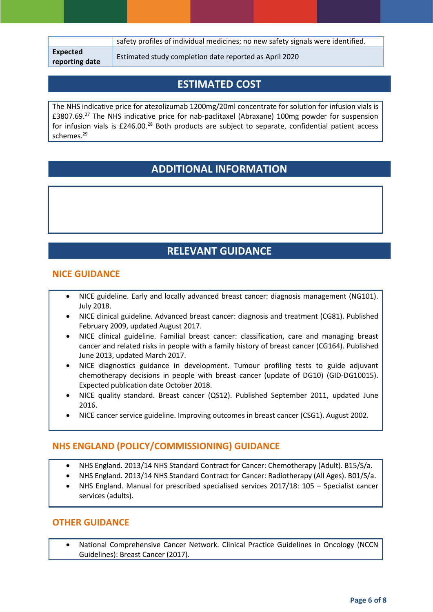|                            | safety profiles of individual medicines; no new safety signals were identified. |
|----------------------------|---------------------------------------------------------------------------------|
| Expected<br>reporting date | Estimated study completion date reported as April 2020                          |

## **ESTIMATED COST**

The NHS indicative price for atezolizumab 1200mg/20ml concentrate for solution for infusion vials is £3807.69.<sup>27</sup> The NHS indicative price for nab-paclitaxel (Abraxane) 100mg powder for suspension for infusion vials is £246.00.<sup>28</sup> Both products are subject to separate, confidential patient access schemes.<sup>29</sup>

## **ADDITIONAL INFORMATION**

## **RELEVANT GUIDANCE**

### **NICE GUIDANCE**

- NICE guideline. Early and locally advanced breast cancer: diagnosis management (NG101). July 2018.
- NICE clinical guideline. Advanced breast cancer: diagnosis and treatment (CG81). Published February 2009, updated August 2017.
- NICE clinical guideline. Familial breast cancer: classification, care and managing breast cancer and related risks in people with a family history of breast cancer (CG164). Published June 2013, updated March 2017.
- NICE diagnostics guidance in development. Tumour profiling tests to guide adjuvant chemotherapy decisions in people with breast cancer (update of DG10) (GID-DG10015). Expected publication date October 2018.
- NICE quality standard. Breast cancer (QS12). Published September 2011, updated June 2016.
- NICE cancer service guideline. Improving outcomes in breast cancer (CSG1). August 2002.

### **NHS ENGLAND (POLICY/COMMISSIONING) GUIDANCE**

- NHS England. 2013/14 NHS Standard Contract for Cancer: Chemotherapy (Adult). B15/S/a.
- NHS England. 2013/14 NHS Standard Contract for Cancer: Radiotherapy (All Ages). B01/S/a.
- NHS England. Manual for prescribed specialised services 2017/18: 105 Specialist cancer services (adults).

#### **OTHER GUIDANCE**

• National Comprehensive Cancer Network. Clinical Practice Guidelines in Oncology (NCCN Guidelines): Breast Cancer (2017).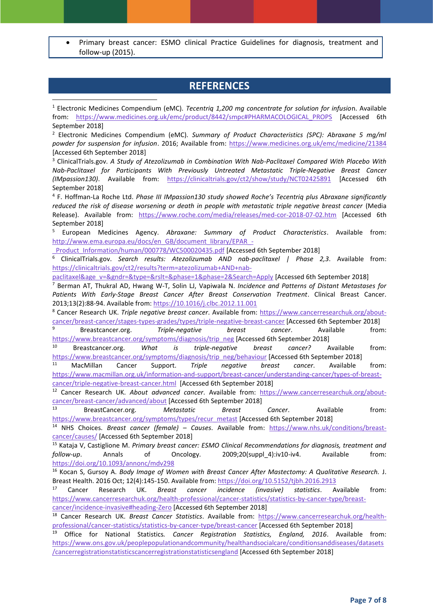• Primary breast cancer: ESMO clinical Practice Guidelines for diagnosis, treatment and follow-up (2015).

## **REFERENCES**

<sup>1</sup> Electronic Medicines Compendium (eMC). *Tecentriq 1,200 mg concentrate for solution for infusio*n. Available from: [https://www.medicines.org.uk/emc/product/8442/smpc#PHARMACOLOGICAL\\_PROPS](https://www.medicines.org.uk/emc/product/8442/smpc#PHARMACOLOGICAL_PROPS) [Accessed 6th September 2018]

<sup>2</sup> Electronic Medicines Compendium (eMC). *Summary of Product Characteristics (SPC): Abraxane 5 mg/ml powder for suspension for infusion*. 2016; Available from:<https://www.medicines.org.uk/emc/medicine/21384> [Accessed 6th September 2018]

<sup>3</sup> ClinicalTrials.gov. *A Study of Atezolizumab in Combination With Nab-Paclitaxel Compared With Placebo With Nab-Paclitaxel for Participants With Previously Untreated Metastatic Triple-Negative Breast Cancer (IMpassion130)*. Available from: <https://clinicaltrials.gov/ct2/show/study/NCT02425891> [Accessed 6th September 2018]

4 F. Hoffman-La Roche Ltd. *Phase III IMpassion130 study showed Roche's Tecentriq plus Abraxane significantly reduced the risk of disease worsening or death in people with metastatic triple negative breast cancer* (Media Release). Available from: <https://www.roche.com/media/releases/med-cor-2018-07-02.htm> [Accessed 6th September 2018]

<sup>5</sup> European Medicines Agency. *Abraxane: Summary of Product Characteristics*. Available from: [http://www.ema.europa.eu/docs/en\\_GB/document\\_library/EPAR\\_-](http://www.ema.europa.eu/docs/en_GB/document_library/EPAR_-_Product_Information/human/000778/WC500020435.pdf)

Product Information/human/000778/WC500020435.pdf [Accessed 6th September 2018]

**.** 

<sup>6</sup> ClinicalTrials.gov. *Search results: Atezolizumab AND nab-paclitaxel | Phase 2,3*. Available from: [https://clinicaltrials.gov/ct2/results?term=atezolizumab+AND+nab-](https://clinicaltrials.gov/ct2/results?term=atezolizumab+AND+nab-paclitaxel&age_v=&gndr=&type=&rslt=&phase=1&phase=2&Search=Apply)

[paclitaxel&age\\_v=&gndr=&type=&rslt=&phase=1&phase=2&Search=Apply](https://clinicaltrials.gov/ct2/results?term=atezolizumab+AND+nab-paclitaxel&age_v=&gndr=&type=&rslt=&phase=1&phase=2&Search=Apply) [Accessed 6th September 2018]

<sup>7</sup> Berman AT, Thukral AD, Hwang W-T, Solin LJ, Vapiwala N. *Incidence and Patterns of Distant Metastases for Patients With Early-Stage Breast Cancer After Breast Conservation Treatment*. Clinical Breast Cancer. 2013;13(2):88-94. Available from: [https://10.1016/j.clbc.2012.11.001](https://10.0.3.248/j.clbc.2012.11.001)

<sup>8</sup> Cancer Research UK. *Triple negative breast cancer*. Available from: [https://www.cancerresearchuk.org/about](https://www.cancerresearchuk.org/about-cancer/breast-cancer/stages-types-grades/types/triple-negative-breast-cancer)[cancer/breast-cancer/stages-types-grades/types/triple-negative-breast-cancer](https://www.cancerresearchuk.org/about-cancer/breast-cancer/stages-types-grades/types/triple-negative-breast-cancer) [Accessed 6th September 2018]

<sup>9</sup> Breastcancer.org. *Triple-negative breast cancer*. Available from: [https://www.breastcancer.org/symptoms/diagnosis/trip\\_neg](https://www.breastcancer.org/symptoms/diagnosis/trip_neg) [Accessed 6th September 2018]

<sup>10</sup> Breastcancer.org. *What is triple-negative breast cancer?* Available from: [https://www.breastcancer.org/symptoms/diagnosis/trip\\_neg/behaviour](https://www.breastcancer.org/symptoms/diagnosis/trip_neg/behaviour) [Accessed 6th September 2018]

<sup>11</sup> MacMillan Cancer Support. *Triple negative breast cancer*. Available from: [https://www.macmillan.org.uk/information-and-support/breast-cancer/understanding-cancer/types-of-breast](https://www.macmillan.org.uk/information-and-support/breast-cancer/understanding-cancer/types-of-breast-cancer/triple-negative-breast-cancer.html)[cancer/triple-negative-breast-cancer.html](https://www.macmillan.org.uk/information-and-support/breast-cancer/understanding-cancer/types-of-breast-cancer/triple-negative-breast-cancer.html) [Accessed 6th September 2018]

<sup>12</sup> Cancer Research UK. *About advanced cancer*. Available from: [https://www.cancerresearchuk.org/about](https://www.cancerresearchuk.org/about-cancer/breast-cancer/advanced/about)[cancer/breast-cancer/advanced/about](https://www.cancerresearchuk.org/about-cancer/breast-cancer/advanced/about) [Accessed 6th September 2018]

<sup>13</sup> BreastCancer.org. *Metastatic Breast Cancer*. Available from: [https://www.breastcancer.org/symptoms/types/recur\\_metast](https://www.breastcancer.org/symptoms/types/recur_metast) [Accessed 6th September 2018]

<sup>14</sup> NHS Choices. *Breast cancer (female) – Causes*. Available from: [https://www.nhs.uk/conditions/breast](https://www.nhs.uk/conditions/breast-cancer/causes/)[cancer/causes/](https://www.nhs.uk/conditions/breast-cancer/causes/) [Accessed 6th September 2018]

<sup>15</sup> Kataja V, Castiglione M. *Primary breast cancer: ESMO Clinical Recommendations for diagnosis, treatment and follow-up*. Annals of Oncology. 2009;20(suppl\_4):iv10-iv4. Available from: <https://doi.org/10.1093/annonc/mdv298>

<sup>16</sup> Kocan S, Gursoy A. *Body Image of Women with Breast Cancer After Mastectomy: A Qualitative Research.* J. Breast Health. 2016 Oct; 12(4):145-150. Available from: <https://doi.org/10.5152/tjbh.2016.2913>

<sup>17</sup> Cancer Research UK. *Breast cancer incidence (invasive) statistics*. Available from: [https://www.cancerresearchuk.org/health-professional/cancer-statistics/statistics-by-cancer-type/breast-](https://www.cancerresearchuk.org/health-professional/cancer-statistics/statistics-by-cancer-type/breast-cancer/incidence-invasive#heading-Zero)

[cancer/incidence-invasive#heading-Zero](https://www.cancerresearchuk.org/health-professional/cancer-statistics/statistics-by-cancer-type/breast-cancer/incidence-invasive#heading-Zero) [Accessed 6th September 2018]

<sup>18</sup> Cancer Research UK. *Breast Cancer Statistics*. Available from: [https://www.cancerresearchuk.org/health](https://www.cancerresearchuk.org/health-professional/cancer-statistics/statistics-by-cancer-type/breast-cancer)[professional/cancer-statistics/statistics-by-cancer-type/breast-cancer](https://www.cancerresearchuk.org/health-professional/cancer-statistics/statistics-by-cancer-type/breast-cancer) [Accessed 6th September 2018]

<sup>19</sup> Office for National Statistics*. Cancer Registration Statistics, England, 2016*. Available from: [https://www.ons.gov.uk/peoplepopulationandcommunity/healthandsocialcare/conditionsanddiseases/datasets](https://www.ons.gov.uk/peoplepopulationandcommunity/healthandsocialcare/conditionsanddiseases/datasets/cancerregistrationstatisticscancerregistrationstatisticsengland) [/cancerregistrationstatisticscancerregistrationstatisticsengland](https://www.ons.gov.uk/peoplepopulationandcommunity/healthandsocialcare/conditionsanddiseases/datasets/cancerregistrationstatisticscancerregistrationstatisticsengland) [Accessed 6th September 2018]